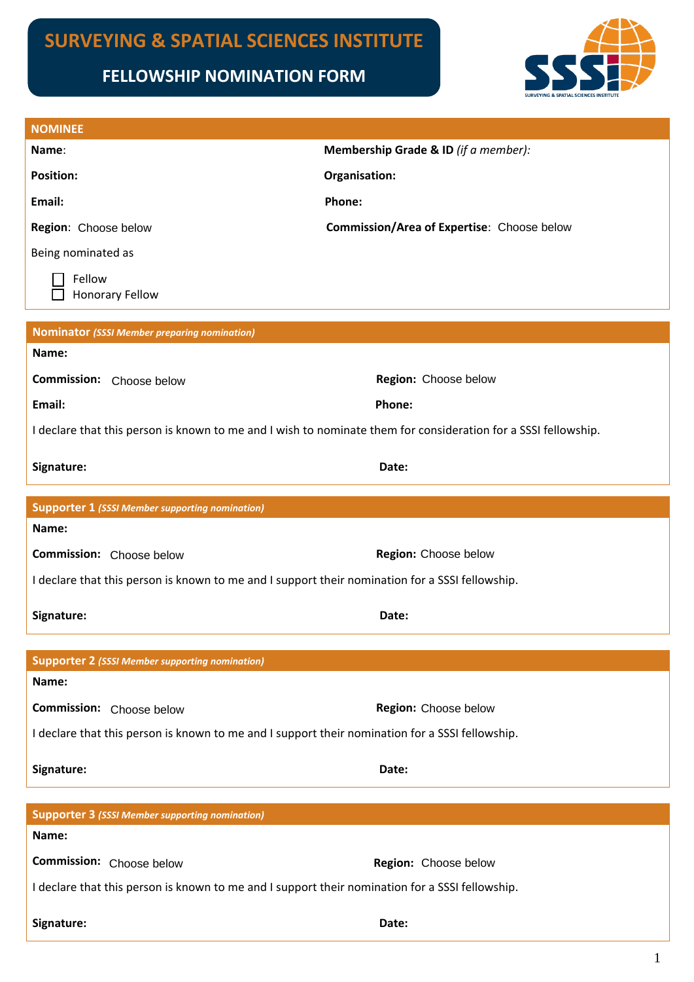# **SURVEYING & SPATIAL SCIENCES INSTITUTE**

# **FELLOWSHIP NOMINATION FORM**



| <b>NOMINEE</b>                                                                                                 |                                            |  |
|----------------------------------------------------------------------------------------------------------------|--------------------------------------------|--|
| Name:                                                                                                          | Membership Grade & ID (if a member):       |  |
| <b>Position:</b>                                                                                               | Organisation:                              |  |
| Email:                                                                                                         | Phone:                                     |  |
| Region: Choose below                                                                                           | Commission/Area of Expertise: Choose below |  |
| Being nominated as                                                                                             |                                            |  |
| Fellow<br><b>Honorary Fellow</b>                                                                               |                                            |  |
| <b>Nominator (SSSI Member preparing nomination)</b>                                                            |                                            |  |
| Name:                                                                                                          |                                            |  |
| <b>Commission:</b> Choose below                                                                                | Region: Choose below                       |  |
| Email:                                                                                                         | Phone:                                     |  |
| I declare that this person is known to me and I wish to nominate them for consideration for a SSSI fellowship. |                                            |  |
| Signature:                                                                                                     | Date:                                      |  |
|                                                                                                                |                                            |  |
| <b>Supporter 1 (SSSI Member supporting nomination)</b>                                                         |                                            |  |
| Name:                                                                                                          |                                            |  |
| <b>Commission:</b> Choose below                                                                                | Region: Choose below                       |  |
| I declare that this person is known to me and I support their nomination for a SSSI fellowship.                |                                            |  |
| Signature:                                                                                                     | Date:                                      |  |
| <b>Supporter 2 (SSSI Member supporting nomination)</b>                                                         |                                            |  |
| Name:                                                                                                          |                                            |  |
| Commission: Choose below                                                                                       | Region: Choose below                       |  |
| I declare that this person is known to me and I support their nomination for a SSSI fellowship.                |                                            |  |
| Signature:                                                                                                     | Date:                                      |  |
|                                                                                                                |                                            |  |
| <b>Supporter 3 (SSSI Member supporting nomination)</b><br>Name:                                                |                                            |  |
| Commission: Choose below                                                                                       | Region: Choose below                       |  |
| I declare that this person is known to me and I support their nomination for a SSSI fellowship.                |                                            |  |
|                                                                                                                |                                            |  |
| Signature:                                                                                                     | Date:                                      |  |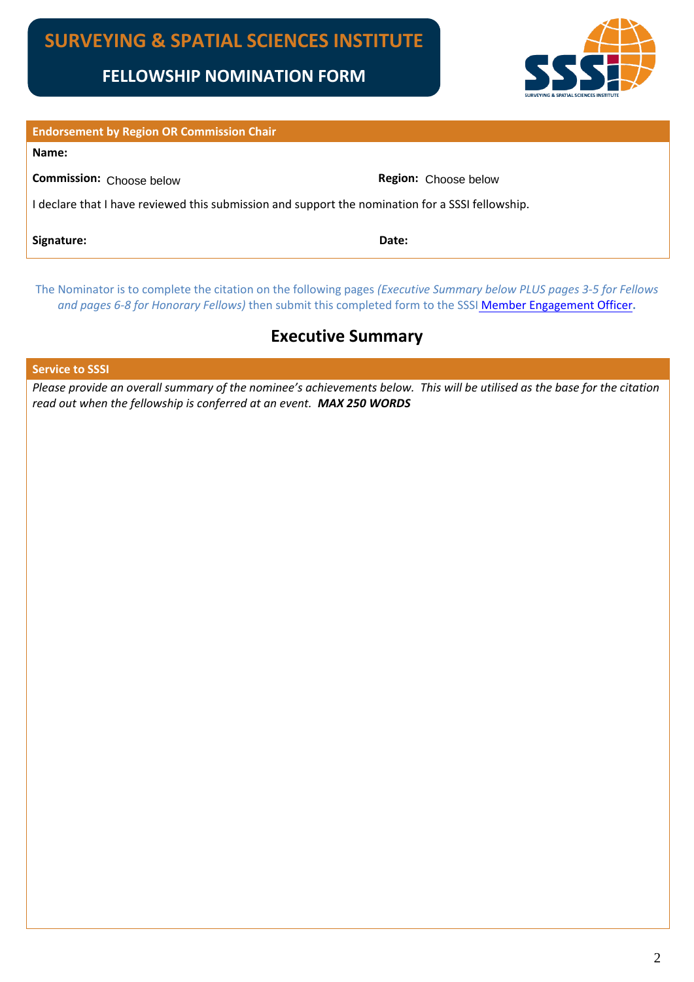

| <b>Endorsement by Region OR Commission Chair</b>                                                 |                             |  |
|--------------------------------------------------------------------------------------------------|-----------------------------|--|
| Name:                                                                                            |                             |  |
| Commission: Choose below                                                                         | <b>Region:</b> Choose below |  |
| I declare that I have reviewed this submission and support the nomination for a SSSI fellowship. |                             |  |
| Signature:                                                                                       | Date:                       |  |

The Nominator is to complete the citation on the following pages *(Executive Summary below PLUS pages 3-5 for Fellows and pages 6-8 for Honorary Fellows)* then submit this completed form to the SSSI [Member Engagement Officer](mailto:membership@sssi.org.au?subject=Fellowship%20Nomination)**.**

# **Executive Summary**

**Service to SSSI** 

*Please provide an overall summary of the nominee's achievements below. This will be utilised as the base for the citation read out when the fellowship is conferred at an event. MAX 250 WORDS*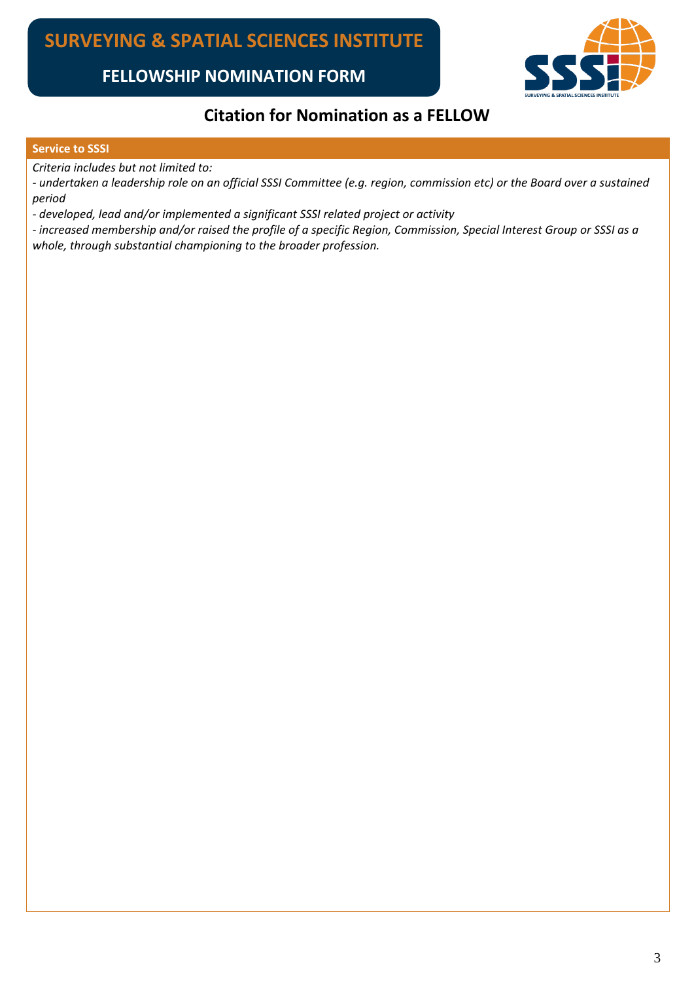

## **Citation for Nomination as a FELLOW**

#### **Service to SSSI**

*Criteria includes but not limited to:*

*- undertaken a leadership role on an official SSSI Committee (e.g. region, commission etc) or the Board over a sustained period*

*- developed, lead and/or implemented a significant SSSI related project or activity*

*- increased membership and/or raised the profile of a specific Region, Commission, Special Interest Group or SSSI as a whole, through substantial championing to the broader profession.*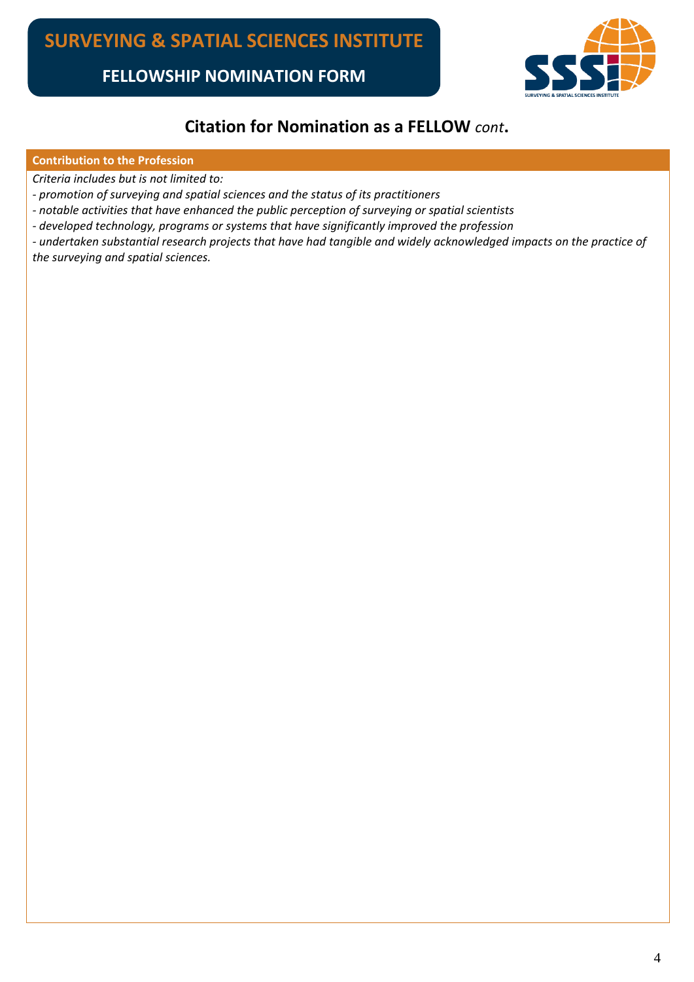

## **Citation for Nomination as a FELLOW** *cont***.**

#### **Contribution to the Profession**

*Criteria includes but is not limited to:*

*- promotion of surveying and spatial sciences and the status of its practitioners* 

*- notable activities that have enhanced the public perception of surveying or spatial scientists*

*- developed technology, programs or systems that have significantly improved the profession*

*- undertaken substantial research projects that have had tangible and widely acknowledged impacts on the practice of the surveying and spatial sciences.*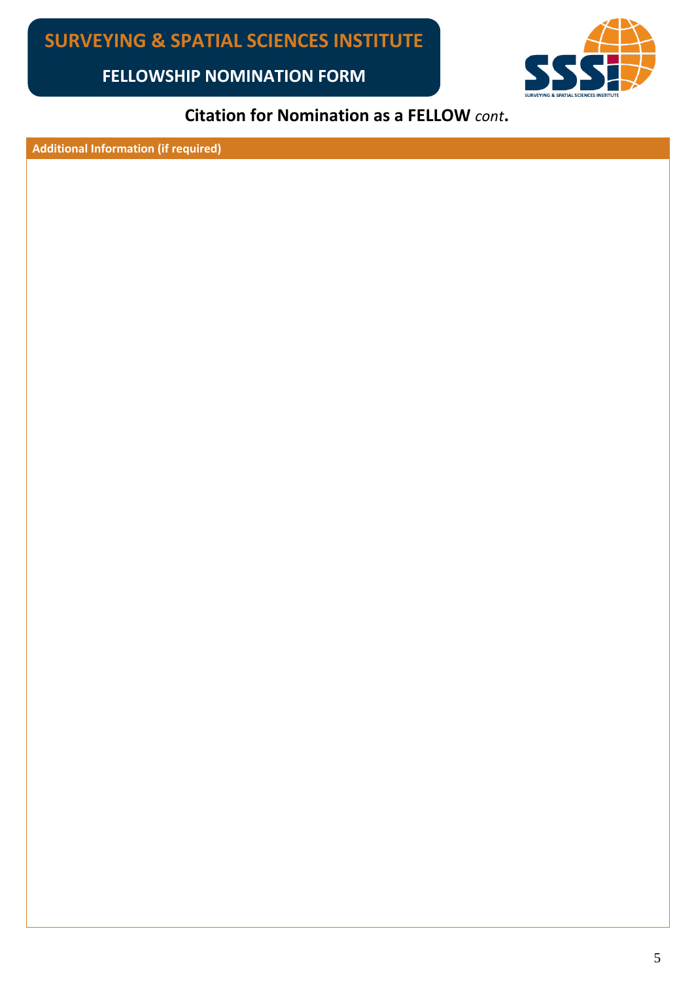

# **Citation for Nomination as a FELLOW** *cont***.**

**Additional Information (if required)**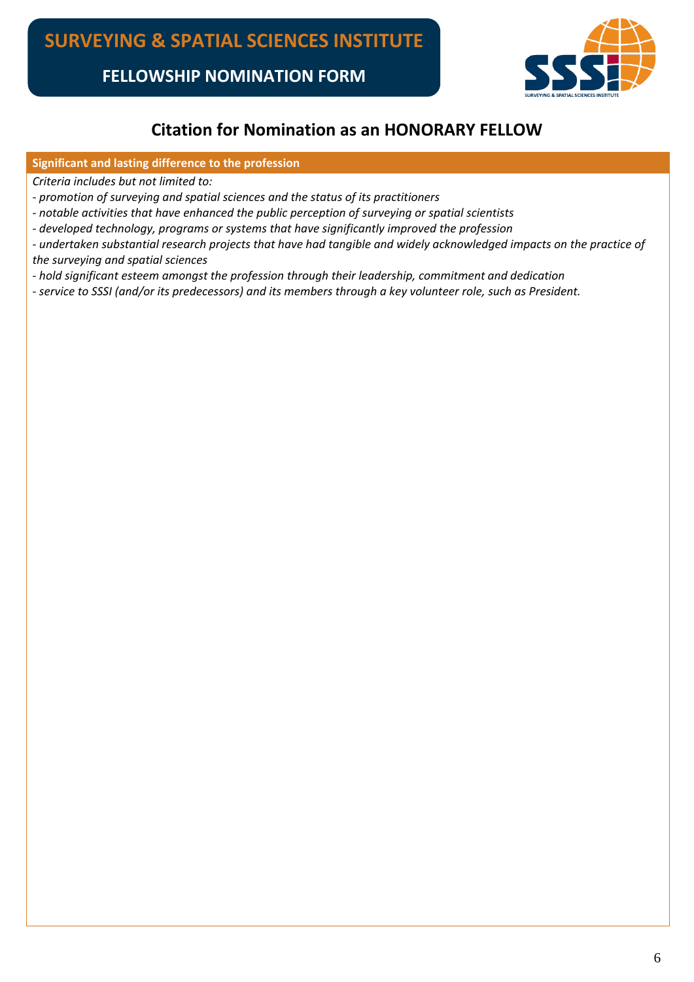

### **Citation for Nomination as an HONORARY FELLOW**

#### **Significant and lasting difference to the profession**

*Criteria includes but not limited to:*

- *promotion of surveying and spatial sciences and the status of its practitioners*
- *notable activities that have enhanced the public perception of surveying or spatial scientists*
- *developed technology, programs or systems that have significantly improved the profession*
- *undertaken substantial research projects that have had tangible and widely acknowledged impacts on the practice of the surveying and spatial sciences*
- *hold significant esteem amongst the profession through their leadership, commitment and dedication*
- *service to SSSI (and/or its predecessors) and its members through a key volunteer role, such as President.*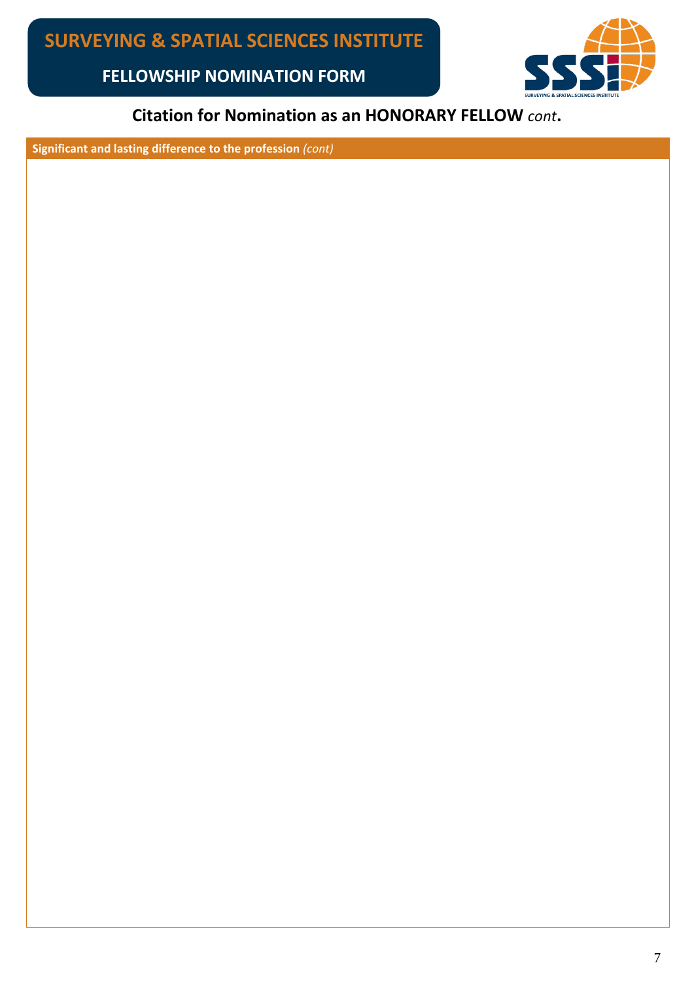

# **Citation for Nomination as an HONORARY FELLOW** *cont***.**

**Significant and lasting difference to the profession** *(cont)*